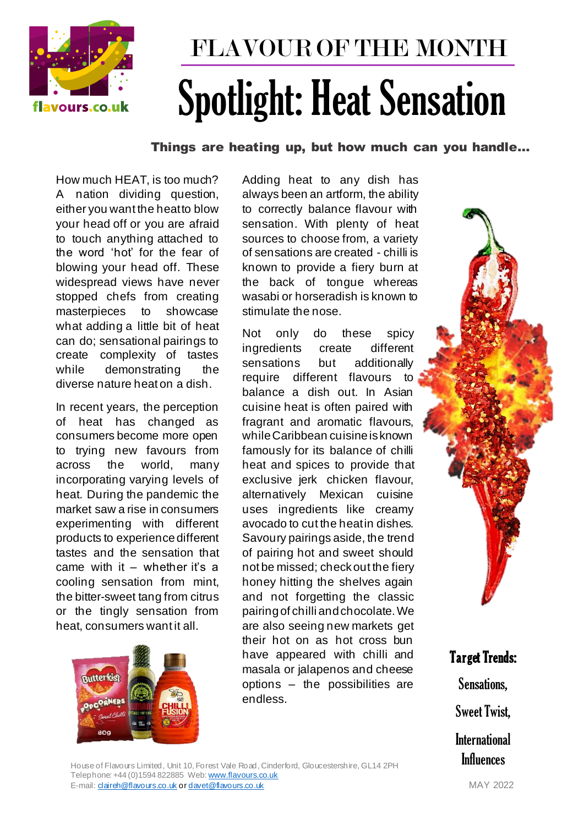

## FLAVOUR OF THE MONTH Spotlight: Heat Sensation

Things are heating up, but how much can you handle…

How much HEAT, is too much? A nation dividing question, either you want the heat to blow your head off or you are afraid to touch anything attached to the word 'hot' for the fear of blowing your head off. These widespread views have never stopped chefs from creating masterpieces to showcase what adding a little bit of heat can do; sensational pairings to create complexity of tastes while demonstrating the diverse nature heat on a dish.

In recent years, the perception of heat has changed as consumers become more open to trying new favours from across the world, many incorporating varying levels of heat. During the pandemic the market saw a rise in consumers experimenting with different products to experience different tastes and the sensation that came with it  $-$  whether it's a cooling sensation from mint, the bitter-sweet tang from citrus or the tingly sensation from heat, consumers want it all.



Adding heat to any dish has always been an artform, the ability to correctly balance flavour with sensation. With plenty of heat sources to choose from, a variety of sensations are created - chilli is known to provide a fiery burn at the back of tongue whereas wasabi or horseradish is known to stimulate the nose.

Not only do these spicy ingredients create different sensations but additionally require different flavours to balance a dish out. In Asian cuisine heat is often paired with fragrant and aromatic flavours, while Caribbean cuisine is known famously for its balance of chilli heat and spices to provide that exclusive jerk chicken flavour, alternatively Mexican cuisine uses ingredients like creamy avocado to cut the heat in dishes. Savoury pairings aside, the trend of pairing hot and sweet should not be missed; check out the fiery honey hitting the shelves again and not forgetting the classic pairing of chilli and chocolate. We are also seeing new markets get their hot on as hot cross bun have appeared with chilli and masala or jalapenos and cheese options – the possibilities are endless.

Target Trends: Sensations, Sweet Twist, **International** 

Influences

House of Flavours Limited, Unit 10, Forest Vale Road, Cinderford, Gloucestershire, GL14 2PH Telephone: +44 (0)1594 822885 Web[: www.flavours.co.uk](http://www.flavours.co.uk/) E-mail: **daireh@flavours.co.uk o[r davet@flavours.co.uk](mailto:davet@flavours.co.uk)** MAY 2022